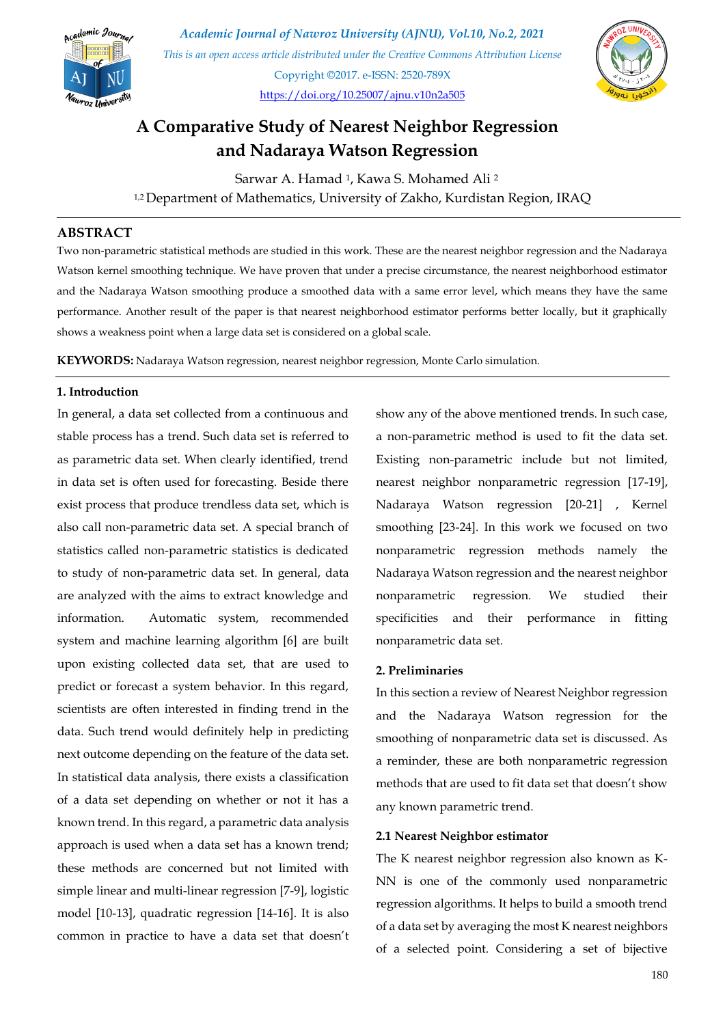

*Academic Journal of Nawroz University (AJNU), Vol.10, No.2, 2021 This is an open access article distributed under the Creative Commons Attribution License* Copyright ©2017. e-ISSN: 2520-789X <https://doi.org/10.25007/ajnu.v10n2a505>



# **A Comparative Study of Nearest Neighbor Regression and Nadaraya Watson Regression**

Sarwar A. Hamad <sup>1</sup>, Kawa S. Mohamed Ali <sup>2</sup> 1,2 Department of Mathematics, University of Zakho, Kurdistan Region, IRAQ

### **ABSTRACT**

Two non-parametric statistical methods are studied in this work. These are the nearest neighbor regression and the Nadaraya Watson kernel smoothing technique. We have proven that under a precise circumstance, the nearest neighborhood estimator and the Nadaraya Watson smoothing produce a smoothed data with a same error level, which means they have the same performance. Another result of the paper is that nearest neighborhood estimator performs better locally, but it graphically shows a weakness point when a large data set is considered on a global scale.

**KEYWORDS:** Nadaraya Watson regression, nearest neighbor regression, Monte Carlo simulation.

### **1. Introduction**

In general, a data set collected from a continuous and stable process has a trend. Such data set is referred to as parametric data set. When clearly identified, trend in data set is often used for forecasting. Beside there exist process that produce trendless data set, which is also call non-parametric data set. A special branch of statistics called non-parametric statistics is dedicated to study of non-parametric data set. In general, data are analyzed with the aims to extract knowledge and information. Automatic system, recommended system and machine learning algorithm [6] are built upon existing collected data set, that are used to predict or forecast a system behavior. In this regard, scientists are often interested in finding trend in the data. Such trend would definitely help in predicting next outcome depending on the feature of the data set. In statistical data analysis, there exists a classification of a data set depending on whether or not it has a known trend. In this regard, a parametric data analysis approach is used when a data set has a known trend; these methods are concerned but not limited with simple linear and multi-linear regression [7-9], logistic model [10-13], quadratic regression [14-16]. It is also common in practice to have a data set that doesn't

show any of the above mentioned trends. In such case, a non-parametric method is used to fit the data set. Existing non-parametric include but not limited, nearest neighbor nonparametric regression [17-19], Nadaraya Watson regression [20-21] , Kernel smoothing [23-24]. In this work we focused on two nonparametric regression methods namely the Nadaraya Watson regression and the nearest neighbor nonparametric regression. We studied their specificities and their performance in fitting nonparametric data set.

#### **2. Preliminaries**

In this section a review of Nearest Neighbor regression and the Nadaraya Watson regression for the smoothing of nonparametric data set is discussed. As a reminder, these are both nonparametric regression methods that are used to fit data set that doesn't show any known parametric trend.

#### **2.1 Nearest Neighbor estimator**

The K nearest neighbor regression also known as K-NN is one of the commonly used nonparametric regression algorithms. It helps to build a smooth trend of a data set by averaging the most K nearest neighbors of a selected point. Considering a set of bijective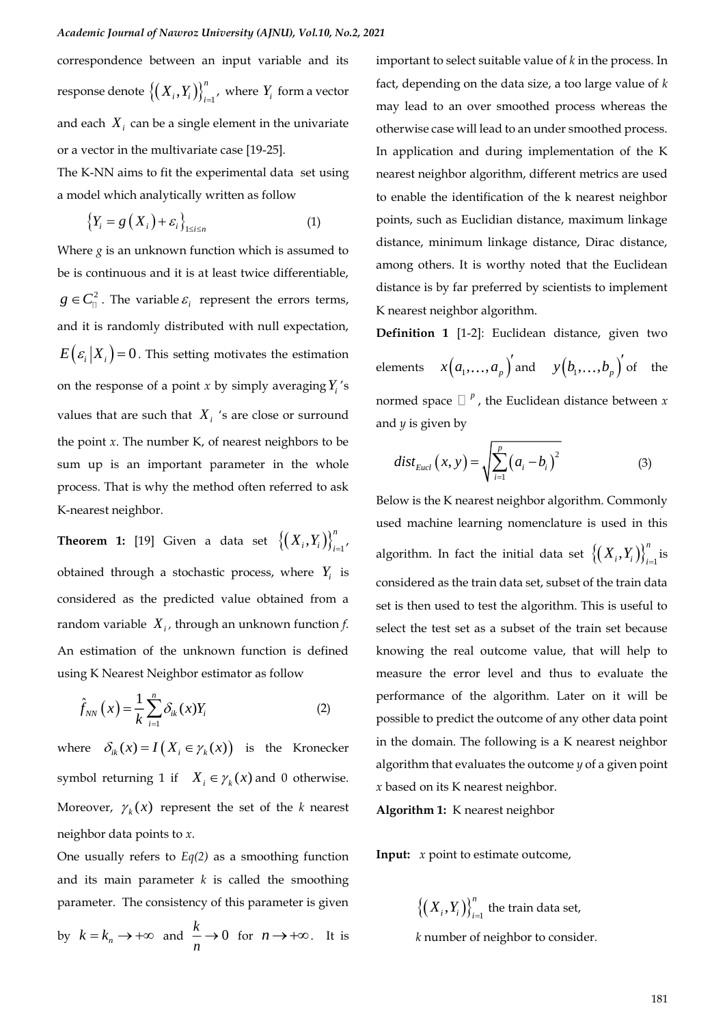correspondence between an input variable and its response denote  $\left\{\left(X_{i}, Y_{i}\right)\right\}_{i=1}^{n}$  $\left\{X_i, Y_i\right\}\right\}_{i=1}$ , where  $Y_i$  form a vector and each  $X_i$  can be a single element in the univariate or a vector in the multivariate case [19-25].

The K-NN aims to fit the experimental data set using a model which analytically written as follow

$$
\left\{Y_i = g\left(X_i\right) + \varepsilon_i\right\}_{1 \le i \le n} \tag{1}
$$

Where  $g$  is an unknown function which is assumed to be is continuous and it is at least twice differentiable,  $g \in C^2$ . The variable  $\varepsilon_i$  represent the errors terms, and it is randomly distributed with null expectation,  $E\left( \varepsilon_{i} | X_{i} \right)$  = 0. This setting motivates the estimation on the response of a point *x* by simply averaging  $Y_i$ 's values that are such that  $X_i$  's are close or surround the point  $x$ . The number  $K$ , of nearest neighbors to be sum up is an important parameter in the whole process. That is why the method often referred to ask K-nearest neighbor.

**Theorem 1:** [19] Given a data set  $\left\{\left(X_i, Y_i\right)\right\}_{i=1}^n$  $X_i, Y_i \big) \big\}_{i=1}^r$ obtained through a stochastic process, where  $Y_i$  is considered as the predicted value obtained from a random variable *Xi ,* through an unknown function *f*. An estimation of the unknown function is defined using K Nearest Neighbor estimator as follow

$$
\hat{f}_{NN}\left(x\right) = \frac{1}{k} \sum_{i=1}^{n} \delta_{ik}(x) Y_i \tag{2}
$$

where  $\delta_{ik}(x) = I(X_i \in \gamma_k(x))$  is the Kronecker symbol returning 1 if  $X_i \in \gamma_k(x)$  and 0 otherwise. Moreover,  $\gamma_k(x)$  represent the set of the *k* nearest neighbor data points to *x*.

One usually refers to *Eq(2)* as a smoothing function and its main parameter  $k$  is called the smoothing parameter. The consistency of this parameter is given by  $k = k_n \rightarrow +\infty$  and  $\frac{k}{n} \rightarrow 0$ *n*  $\rightarrow 0$  for  $n \rightarrow +\infty$ . It is

important to select suitable value of *k* in the process. In fact, depending on the data size, a too large value of *k* may lead to an over smoothed process whereas the otherwise case will lead to an under smoothed process. In application and during implementation of the K nearest neighbor algorithm, different metrics are used to enable the identification of the k nearest neighbor points, such as Euclidian distance, maximum linkage distance, minimum linkage distance, Dirac distance, among others. It is worthy noted that the Euclidean distance is by far preferred by scientists to implement K nearest neighbor algorithm.

**Definition 1** [1-2]: Euclidean distance, given two elements  $x(a_1,...,a_p)'$  and  $y(b_1,...,b_p)'$  of the normed space  $\Box$  <sup>*p*</sup>, the Euclidean distance between *x* and *y* is given by

$$
dist_{Eucl}(x, y) = \sqrt{\sum_{i=1}^{p} (a_i - b_i)^2}
$$
 (3)

Below is the K nearest neighbor algorithm. Commonly used machine learning nomenclature is used in this algorithm. In fact the initial data set  $\left\{\left(X_i, Y_i\right)\right\}_{i=1}^n$  $X_i, Y_i \big) \Big\}_{i=1}^n$  is considered as the train data set, subset of the train data set is then used to test the algorithm. This is useful to select the test set as a subset of the train set because knowing the real outcome value, that will help to measure the error level and thus to evaluate the performance of the algorithm. Later on it will be possible to predict the outcome of any other data point in the domain. The following is a K nearest neighbor algorithm that evaluates the outcome *y* of a given point *x* based on its K nearest neighbor.

**Algorithm 1:** K nearest neighbor

**Input:** *x* point to estimate outcome,

 $\left\{\left(\,X_{\,i}, Y_{i}\,\right)\right\}_{i=1}^{n}$  $\left\{X_{i}, Y_{i}\right\}_{i=1}^{n}$  the train data set,  *k* number of neighbor to consider.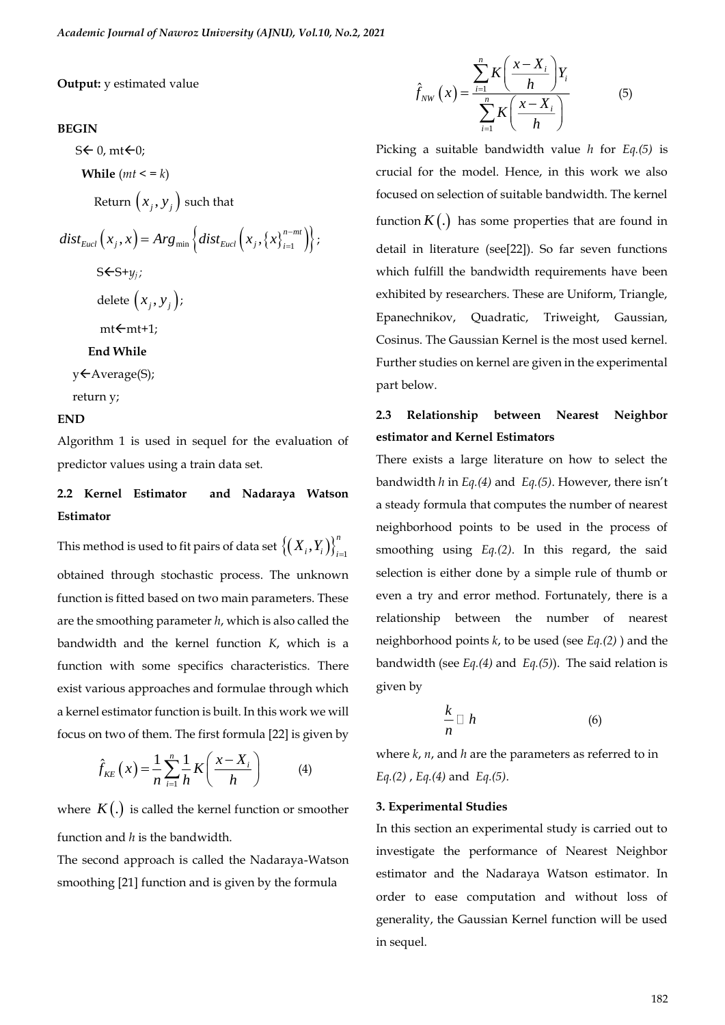#### **Output:** y estimated value

#### **BEGIN**

 $S \leftarrow 0$ , mt $\leftarrow 0$ ;

 **While**  $(mt \leq k)$ 

Return  $(x_j, y_j)$  such that

$$
dist_{Eucl}\left(x_j, x\right) = Arg_{min}\left\{dist_{Eucl}\left(x_j, \left\{x\right\}_{i=1}^{n-mt}\right)\right\};
$$
  

$$
S\leftarrow S+y_j;
$$

delete  $\left(x_{j},y_{j}\right)$  ;

 $mt \leftarrow mt+1$ :

#### **End While**

y ← Average(S);

return y;

#### **END**

Algorithm 1 is used in sequel for the evaluation of predictor values using a train data set.

# **2.2 Kernel Estimator and Nadaraya Watson Estimator**

This method is used to fit pairs of data set  $\big\{\!(X_i^{},Y_i^{}\big)\!\big\}_{i=1}^n$  $X_i, Y_i \big) \big\}_{i=1}$ obtained through stochastic process. The unknown function is fitted based on two main parameters. These are the smoothing parameter *h*, which is also called the bandwidth and the kernel function *K*, which is a function with some specifics characteristics. There exist various approaches and formulae through which a kernel estimator function is built. In this work we will focus on two of them. The first formula [22] is given by

$$
\hat{f}_{KE}\left(x\right) = \frac{1}{n} \sum_{i=1}^{n} \frac{1}{h} K\left(\frac{x - X_i}{h}\right) \tag{4}
$$

where  $K(.)$  is called the kernel function or smoother function and *h* is the bandwidth.

The second approach is called the Nadaraya-Watson smoothing [21] function and is given by the formula

$$
\hat{f}_{NW}\left(x\right) = \frac{\sum_{i=1}^{n} K\left(\frac{x - X_i}{h}\right) Y_i}{\sum_{i=1}^{n} K\left(\frac{x - X_i}{h}\right)}\tag{5}
$$

Picking a suitable bandwidth value *h* for *Eq.(5)* is crucial for the model. Hence, in this work we also focused on selection of suitable bandwidth. The kernel function  $K(.)$  has some properties that are found in detail in literature (see[22]). So far seven functions which fulfill the bandwidth requirements have been exhibited by researchers. These are Uniform, Triangle, Epanechnikov, Quadratic, Triweight, Gaussian, Cosinus. The Gaussian Kernel is the most used kernel. Further studies on kernel are given in the experimental part below.

# **2.3 Relationship between Nearest Neighbor estimator and Kernel Estimators**

There exists a large literature on how to select the bandwidth *h* in *Eq.(4)* and *Eq.(5)*. However, there isn't a steady formula that computes the number of nearest neighborhood points to be used in the process of smoothing using *Eq.(2)*. In this regard, the said selection is either done by a simple rule of thumb or even a try and error method. Fortunately, there is a relationship between the number of nearest neighborhood points *k*, to be used (see *Eq.(2)* ) and the bandwidth (see *Eq.(4)* and *Eq.(5)*). The said relation is given by

$$
\frac{k}{n}\Box h\tag{6}
$$

where *k*, *n*, and *h* are the parameters as referred to in *Eq.(2)* , *Eq.(4)* and *Eq.(5)*.

#### **3. Experimental Studies**

In this section an experimental study is carried out to investigate the performance of Nearest Neighbor estimator and the Nadaraya Watson estimator. In order to ease computation and without loss of generality, the Gaussian Kernel function will be used in sequel.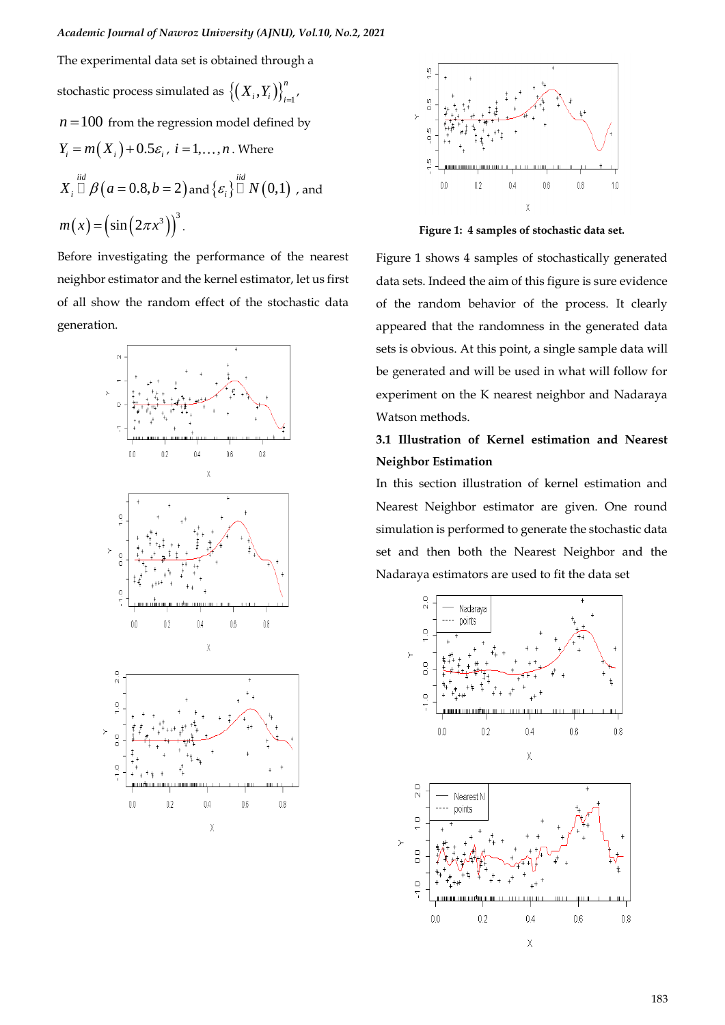The experimental data set is obtained through a stochastic process simulated as  $\left\{\left(X_{_{i}},Y_{_{i}}\right)\right\}_{i=1}^{n}$  $X_i, Y_i \big) \big\}_{i=1}^r$  $n = 100$  from the regression model defined by  $Y_i = m(X_i) + 0.5\varepsilon_i$ ,  $i = 1, \ldots, n$ . Where  $X_i \,\square \, \beta\bigl(a = 0.8, b = 2\bigr)$  and  $\{\varepsilon_i\} \,\square \, N\bigl(0, \!1\bigr)$  , and  $m(x) = (\sin (2\pi x^3))^3$ .

Before investigating the performance of the nearest neighbor estimator and the kernel estimator, let us first of all show the random effect of the stochastic data generation.





**Figure 1: 4 samples of stochastic data set.**

Figure 1 shows 4 samples of stochastically generated data sets. Indeed the aim of this figure is sure evidence of the random behavior of the process. It clearly appeared that the randomness in the generated data sets is obvious. At this point, a single sample data will be generated and will be used in what will follow for experiment on the K nearest neighbor and Nadaraya Watson methods.

# **3.1 Illustration of Kernel estimation and Nearest Neighbor Estimation**

In this section illustration of kernel estimation and Nearest Neighbor estimator are given. One round simulation is performed to generate the stochastic data set and then both the Nearest Neighbor and the Nadaraya estimators are used to fit the data set

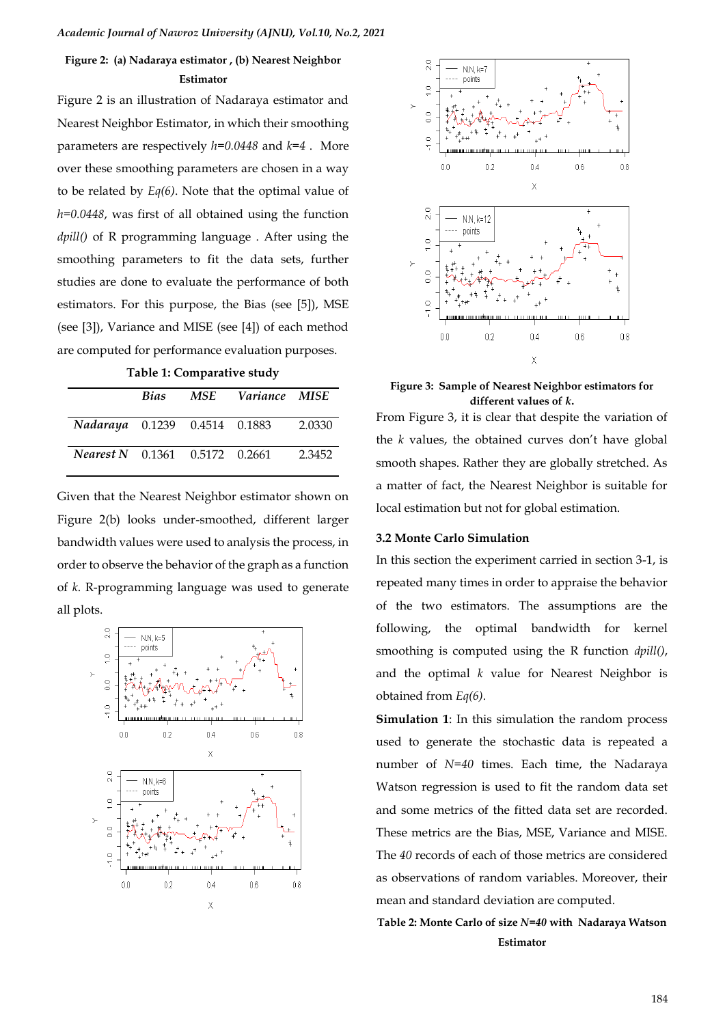## **Figure 2: (a) Nadaraya estimator , (b) Nearest Neighbor Estimator**

Figure 2 is an illustration of Nadaraya estimator and Nearest Neighbor Estimator, in which their smoothing parameters are respectively *h=0.0448* and *k=4* . More over these smoothing parameters are chosen in a way to be related by *Eq(6)*. Note that the optimal value of *h=0.0448*, was first of all obtained using the function *dpill()* of R programming language . After using the smoothing parameters to fit the data sets, further studies are done to evaluate the performance of both estimators. For this purpose, the Bias (see [5]), MSE (see [3]), Variance and MISE (see [4]) of each method are computed for performance evaluation purposes.

| Table 1: Comparative study |
|----------------------------|
|                            |

|                                       |  | Bias MSE Variance MISE |        |
|---------------------------------------|--|------------------------|--------|
| Nadaraya 0.1239 0.4514 0.1883         |  |                        | 2.0330 |
| <b>Nearest N</b> 0.1361 0.5172 0.2661 |  |                        | 2.3452 |

Given that the Nearest Neighbor estimator shown on Figure 2(b) looks under-smoothed, different larger bandwidth values were used to analysis the process, in order to observe the behavior of the graph as a function of *k*. R-programming language was used to generate all plots.





**Figure 3: Sample of Nearest Neighbor estimators for different values of** *k***.**

From Figure 3, it is clear that despite the variation of the *k* values, the obtained curves don't have global smooth shapes. Rather they are globally stretched. As a matter of fact, the Nearest Neighbor is suitable for local estimation but not for global estimation.

### **3.2 Monte Carlo Simulation**

In this section the experiment carried in section 3-1, is repeated many times in order to appraise the behavior of the two estimators. The assumptions are the following, the optimal bandwidth for kernel smoothing is computed using the R function *dpill()*, and the optimal *k* value for Nearest Neighbor is obtained from *Eq(6)*.

**Simulation 1**: In this simulation the random process used to generate the stochastic data is repeated a number of *N=40* times. Each time, the Nadaraya Watson regression is used to fit the random data set and some metrics of the fitted data set are recorded. These metrics are the Bias, MSE, Variance and MISE. The *40* records of each of those metrics are considered as observations of random variables. Moreover, their mean and standard deviation are computed.

### **Table 2: Monte Carlo of size** *N=40* **with Nadaraya Watson Estimator**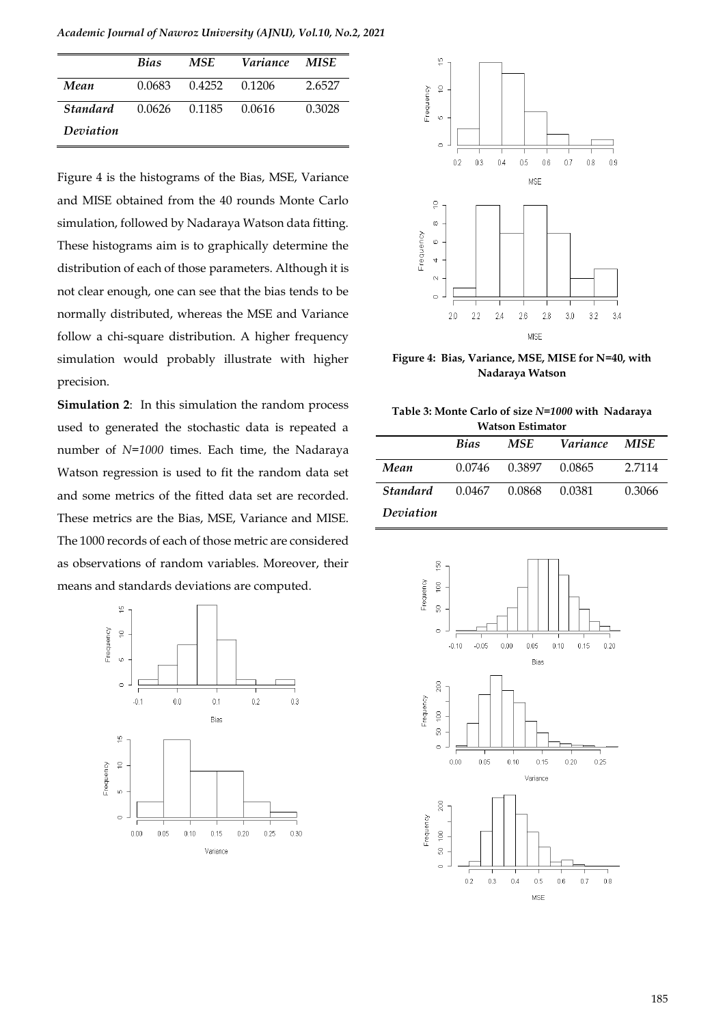*Academic Journal of Nawroz University (AJNU), Vol.10, No.2, 2021* 

|                 | <b>Bias</b>   | MSE           | <i>Variance</i> | MISE.  |
|-----------------|---------------|---------------|-----------------|--------|
| Mean            | 0.0683        | 0.4252 0.1206 |                 | 2.6527 |
| <b>Standard</b> | 0.0626 0.1185 |               | 0.0616          | 0.3028 |
| Deviation       |               |               |                 |        |

Figure 4 is the histograms of the Bias, MSE, Variance and MISE obtained from the 40 rounds Monte Carlo simulation, followed by Nadaraya Watson data fitting. These histograms aim is to graphically determine the distribution of each of those parameters. Although it is not clear enough, one can see that the bias tends to be normally distributed, whereas the MSE and Variance follow a chi-square distribution. A higher frequency simulation would probably illustrate with higher precision.

**Simulation 2**: In this simulation the random process used to generated the stochastic data is repeated a number of *N=1000* times. Each time, the Nadaraya Watson regression is used to fit the random data set and some metrics of the fitted data set are recorded. These metrics are the Bias, MSE, Variance and MISE. The 1000 records of each of those metric are considered as observations of random variables. Moreover, their means and standards deviations are computed.





**Figure 4: Bias, Variance, MSE, MISE for N=40, with Nadaraya Watson**

| Table 3: Monte Carlo of size N=1000 with Nadaraya |  |
|---------------------------------------------------|--|
| <b>Watson Estimator</b>                           |  |

|           | <b>Bias</b> | MSE    | <i>Variance</i> | MISE   |
|-----------|-------------|--------|-----------------|--------|
| Mean      | 0.0746      | 0.3897 | 0.0865          | 2.7114 |
| Standard  | 0.0467      | 0.0868 | 0.0381          | 0.3066 |
| Deviation |             |        |                 |        |

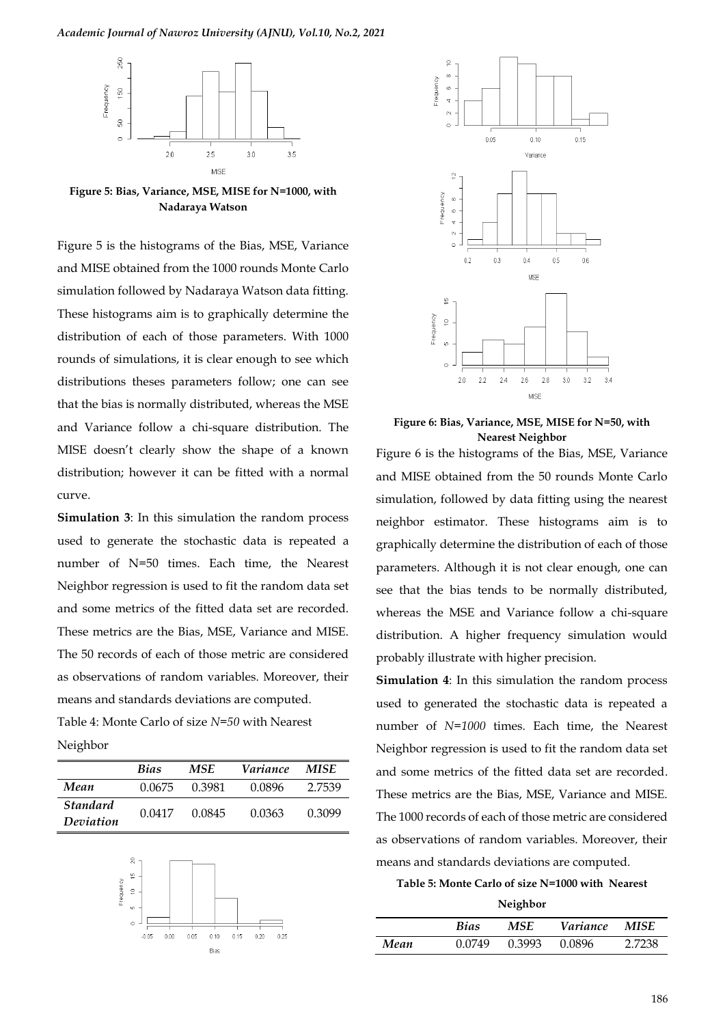#### *Academic Journal of Nawroz University (AJNU), Vol.10, No.2, 2021*



**Figure 5: Bias, Variance, MSE, MISE for N=1000, with Nadaraya Watson**

Figure 5 is the histograms of the Bias, MSE, Variance and MISE obtained from the 1000 rounds Monte Carlo simulation followed by Nadaraya Watson data fitting. These histograms aim is to graphically determine the distribution of each of those parameters. With 1000 rounds of simulations, it is clear enough to see which distributions theses parameters follow; one can see that the bias is normally distributed, whereas the MSE and Variance follow a chi-square distribution. The MISE doesn't clearly show the shape of a known distribution; however it can be fitted with a normal curve.

**Simulation 3**: In this simulation the random process used to generate the stochastic data is repeated a number of N=50 times. Each time, the Nearest Neighbor regression is used to fit the random data set and some metrics of the fitted data set are recorded. These metrics are the Bias, MSE, Variance and MISE. The 50 records of each of those metric are considered as observations of random variables. Moreover, their means and standards deviations are computed. Table 4: Monte Carlo of size *N=50* with Nearest Neighbor

|                              | <b>Bias</b> | <b>MSE</b> | Variance | MISE   |
|------------------------------|-------------|------------|----------|--------|
| Mean                         | 0.0675      | 0.3981     | 0.0896   | 2.7539 |
| <b>Standard</b><br>Deviation | 0.0417      | 0.0845     | 0.0363   | 0.3099 |





**Figure 6: Bias, Variance, MSE, MISE for N=50, with Nearest Neighbor**

Figure 6 is the histograms of the Bias, MSE, Variance and MISE obtained from the 50 rounds Monte Carlo simulation, followed by data fitting using the nearest neighbor estimator. These histograms aim is to graphically determine the distribution of each of those parameters. Although it is not clear enough, one can see that the bias tends to be normally distributed, whereas the MSE and Variance follow a chi-square distribution. A higher frequency simulation would probably illustrate with higher precision.

**Simulation 4**: In this simulation the random process used to generated the stochastic data is repeated a number of *N=1000* times. Each time, the Nearest Neighbor regression is used to fit the random data set and some metrics of the fitted data set are recorded. These metrics are the Bias, MSE, Variance and MISE. The 1000 records of each of those metric are considered as observations of random variables. Moreover, their means and standards deviations are computed.

**Table 5: Monte Carlo of size N=1000 with Nearest** 

**Neighbor**

|      | <b>Bias</b> | MSE.   | <i>Variance</i> | <b>MISE</b> |
|------|-------------|--------|-----------------|-------------|
| Mean | 0.0749      | 0.3993 | 0.0896          | 2.7238      |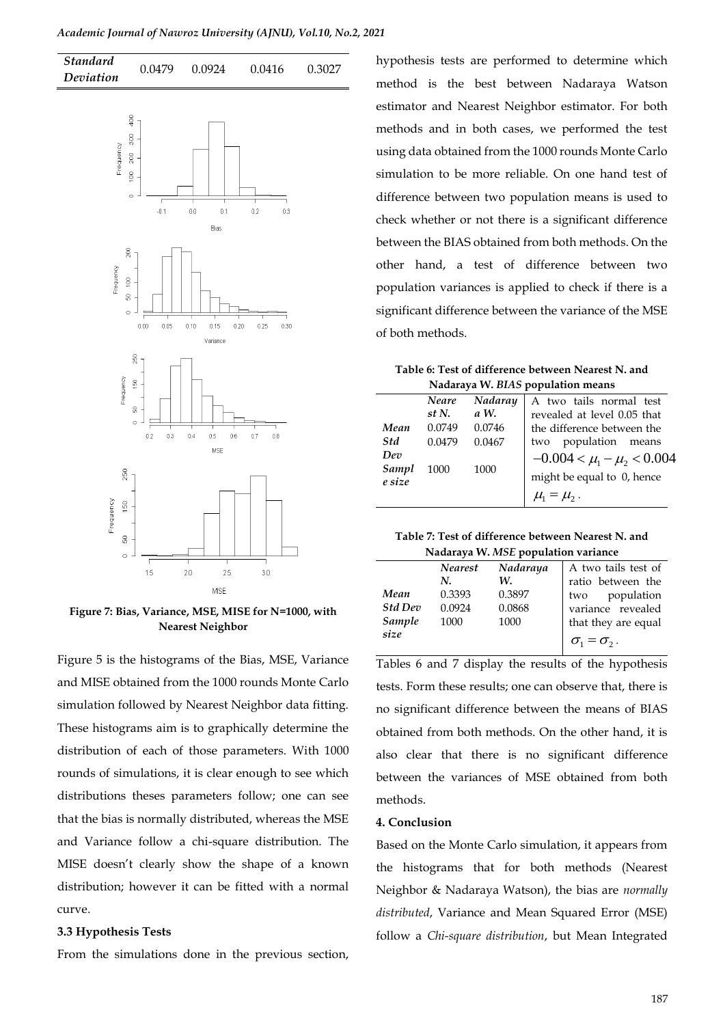#### *Academic Journal of Nawroz University (AJNU), Vol.10, No.2, 2021*



**Figure 7: Bias, Variance, MSE, MISE for N=1000, with Nearest Neighbor**

Figure 5 is the histograms of the Bias, MSE, Variance and MISE obtained from the 1000 rounds Monte Carlo simulation followed by Nearest Neighbor data fitting. These histograms aim is to graphically determine the distribution of each of those parameters. With 1000 rounds of simulations, it is clear enough to see which distributions theses parameters follow; one can see that the bias is normally distributed, whereas the MSE and Variance follow a chi-square distribution. The MISE doesn't clearly show the shape of a known distribution; however it can be fitted with a normal curve.

#### **3.3 Hypothesis Tests**

From the simulations done in the previous section,

hypothesis tests are performed to determine which method is the best between Nadaraya Watson estimator and Nearest Neighbor estimator. For both methods and in both cases, we performed the test using data obtained from the 1000 rounds Monte Carlo simulation to be more reliable. On one hand test of difference between two population means is used to check whether or not there is a significant difference between the BIAS obtained from both methods. On the other hand, a test of difference between two population variances is applied to check if there is a significant difference between the variance of the MSE of both methods.

| Table 6: Test of difference between Nearest N. and |
|----------------------------------------------------|
| Nadaraya W. BIAS population means                  |

|                 | <b>Neare</b> | Nadaray | A two tails normal test                                     |  |
|-----------------|--------------|---------|-------------------------------------------------------------|--|
|                 | st N.        | a W.    | revealed at level 0.05 that                                 |  |
| Mean            | 0.0749       | 0.0746  | the difference between the                                  |  |
| Std             | 0.0479       | 0.0467  | two population means                                        |  |
| Dev             |              |         | $-0.004 < \mu_1 - \mu_2 < 0.004$                            |  |
| Sampl<br>e size | 1000         | 1000    | might be equal to 0, hence                                  |  |
|                 |              |         | $\mu_{\scriptscriptstyle 1} = \mu_{\scriptscriptstyle 2}$ . |  |

| Table 7: Test of difference between Nearest N. and |
|----------------------------------------------------|
| Nadaraya W. MSE population variance                |

|                | <b>Nearest</b> | Nadaraya | A two tails test of     |
|----------------|----------------|----------|-------------------------|
|                | N.             | W.       | ratio between the       |
| Mean           | 0.3393         | 0.3897   | population<br>two       |
| <b>Std Dev</b> | 0.0924         | 0.0868   | variance revealed       |
| Sample         | 1000           | 1000     | that they are equal     |
| size           |                |          | $\sigma_1 = \sigma_2$ . |

Tables 6 and 7 display the results of the hypothesis tests. Form these results; one can observe that, there is no significant difference between the means of BIAS obtained from both methods. On the other hand, it is also clear that there is no significant difference between the variances of MSE obtained from both methods.

### **4. Conclusion**

Based on the Monte Carlo simulation, it appears from the histograms that for both methods (Nearest Neighbor & Nadaraya Watson), the bias are *normally distributed*, Variance and Mean Squared Error (MSE) follow a *Chi-square distribution*, but Mean Integrated